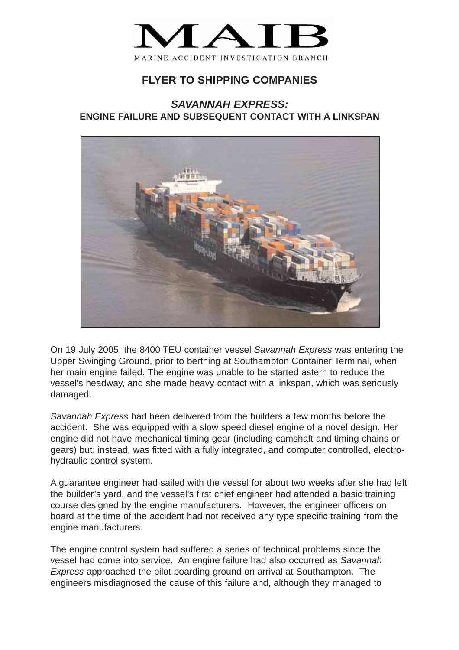

## **FLYER TO SHIPPING COMPANIES**

## *SAVANNAH EXPRESS:* **ENGINE FAILURE AND SUBSEQUENT CONTACT WITH A LINKSPAN**



On 19 July 2005, the 8400 TEU container vessel *Savannah Express* was entering the Upper Swinging Ground, prior to berthing at Southampton Container Terminal, when her main engine failed. The engine was unable to be started astern to reduce the vessel's headway, and she made heavy contact with a linkspan, which was seriously damaged.

*Savannah Express* had been delivered from the builders a few months before the accident. She was equipped with a slow speed diesel engine of a novel design. Her engine did not have mechanical timing gear (including camshaft and timing chains or gears) but, instead, was fitted with a fully integrated, and computer controlled, electrohydraulic control system.

A guarantee engineer had sailed with the vessel for about two weeks after she had left the builder's yard, and the vessel's first chief engineer had attended a basic training course designed by the engine manufacturers. However, the engineer officers on board at the time of the accident had not received any type specific training from the engine manufacturers.

The engine control system had suffered a series of technical problems since the vessel had come into service. An engine failure had also occurred as *Savannah Express* approached the pilot boarding ground on arrival at Southampton. The engineers misdiagnosed the cause of this failure and, although they managed to